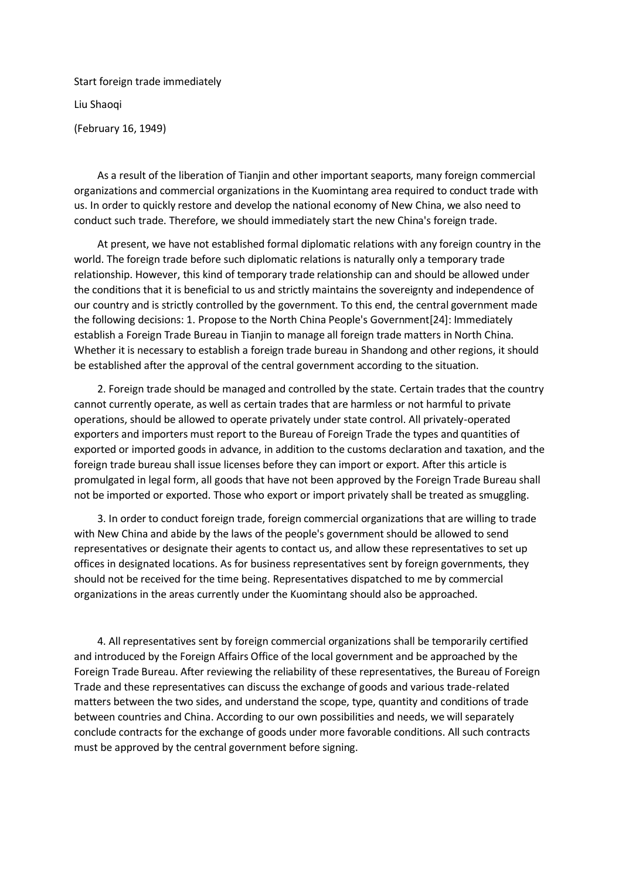Start foreign trade immediately Liu Shaoqi (February 16, 1949)

 As a result of the liberation of Tianjin and other important seaports, many foreign commercial organizations and commercial organizations in the Kuomintang area required to conduct trade with us. In order to quickly restore and develop the national economy of New China, we also need to conduct such trade. Therefore, we should immediately start the new China's foreign trade.

 At present, we have not established formal diplomatic relations with any foreign country in the world. The foreign trade before such diplomatic relations is naturally only a temporary trade relationship. However, this kind of temporary trade relationship can and should be allowed under the conditions that it is beneficial to us and strictly maintains the sovereignty and independence of our country and is strictly controlled by the government. To this end, the central government made the following decisions: 1. Propose to the North China People's Government[24]: Immediately establish a Foreign Trade Bureau in Tianjin to manage all foreign trade matters in North China. Whether it is necessary to establish a foreign trade bureau in Shandong and other regions, it should be established after the approval of the central government according to the situation.

 2. Foreign trade should be managed and controlled by the state. Certain trades that the country cannot currently operate, as well as certain trades that are harmless or not harmful to private operations, should be allowed to operate privately under state control. All privately-operated exporters and importers must report to the Bureau of Foreign Trade the types and quantities of exported or imported goods in advance, in addition to the customs declaration and taxation, and the foreign trade bureau shall issue licenses before they can import or export. After this article is promulgated in legal form, all goods that have not been approved by the Foreign Trade Bureau shall not be imported or exported. Those who export or import privately shall be treated as smuggling.

 3. In order to conduct foreign trade, foreign commercial organizations that are willing to trade with New China and abide by the laws of the people's government should be allowed to send representatives or designate their agents to contact us, and allow these representatives to set up offices in designated locations. As for business representatives sent by foreign governments, they should not be received for the time being. Representatives dispatched to me by commercial organizations in the areas currently under the Kuomintang should also be approached.

 4. All representatives sent by foreign commercial organizations shall be temporarily certified and introduced by the Foreign Affairs Office of the local government and be approached by the Foreign Trade Bureau. After reviewing the reliability of these representatives, the Bureau of Foreign Trade and these representatives can discuss the exchange of goods and various trade-related matters between the two sides, and understand the scope, type, quantity and conditions of trade between countries and China. According to our own possibilities and needs, we will separately conclude contracts for the exchange of goods under more favorable conditions. All such contracts must be approved by the central government before signing.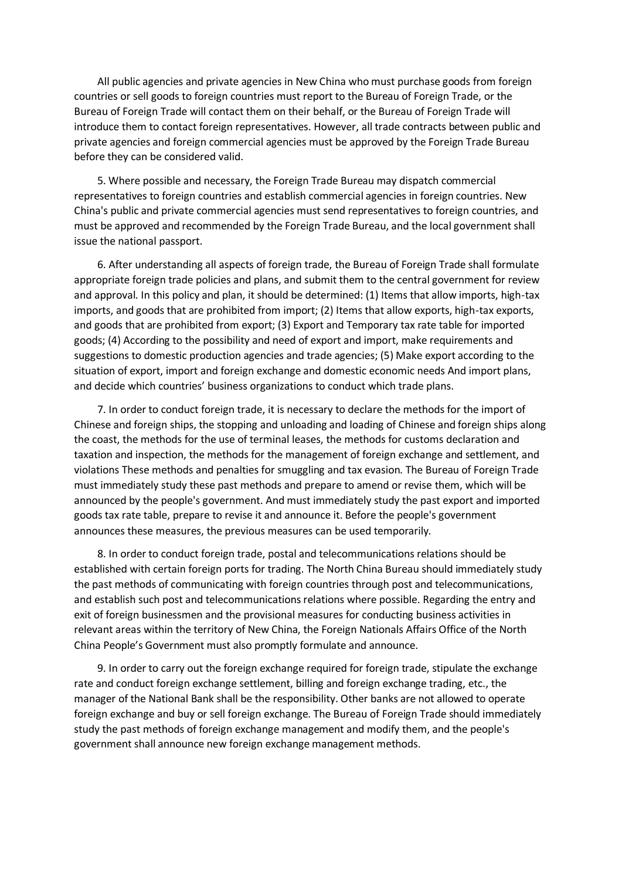All public agencies and private agencies in New China who must purchase goods from foreign countries or sell goods to foreign countries must report to the Bureau of Foreign Trade, or the Bureau of Foreign Trade will contact them on their behalf, or the Bureau of Foreign Trade will introduce them to contact foreign representatives. However, all trade contracts between public and private agencies and foreign commercial agencies must be approved by the Foreign Trade Bureau before they can be considered valid.

 5. Where possible and necessary, the Foreign Trade Bureau may dispatch commercial representatives to foreign countries and establish commercial agencies in foreign countries. New China's public and private commercial agencies must send representatives to foreign countries, and must be approved and recommended by the Foreign Trade Bureau, and the local government shall issue the national passport.

 6. After understanding all aspects of foreign trade, the Bureau of Foreign Trade shall formulate appropriate foreign trade policies and plans, and submit them to the central government for review and approval. In this policy and plan, it should be determined: (1) Items that allow imports, high-tax imports, and goods that are prohibited from import; (2) Items that allow exports, high-tax exports, and goods that are prohibited from export; (3) Export and Temporary tax rate table for imported goods; (4) According to the possibility and need of export and import, make requirements and suggestions to domestic production agencies and trade agencies; (5) Make export according to the situation of export, import and foreign exchange and domestic economic needs And import plans, and decide which countries' business organizations to conduct which trade plans.

 7. In order to conduct foreign trade, it is necessary to declare the methods for the import of Chinese and foreign ships, the stopping and unloading and loading of Chinese and foreign ships along the coast, the methods for the use of terminal leases, the methods for customs declaration and taxation and inspection, the methods for the management of foreign exchange and settlement, and violations These methods and penalties for smuggling and tax evasion. The Bureau of Foreign Trade must immediately study these past methods and prepare to amend or revise them, which will be announced by the people's government. And must immediately study the past export and imported goods tax rate table, prepare to revise it and announce it. Before the people's government announces these measures, the previous measures can be used temporarily.

 8. In order to conduct foreign trade, postal and telecommunications relations should be established with certain foreign ports for trading. The North China Bureau should immediately study the past methods of communicating with foreign countries through post and telecommunications, and establish such post and telecommunications relations where possible. Regarding the entry and exit of foreign businessmen and the provisional measures for conducting business activities in relevant areas within the territory of New China, the Foreign Nationals Affairs Office of the North China People's Government must also promptly formulate and announce.

 9. In order to carry out the foreign exchange required for foreign trade, stipulate the exchange rate and conduct foreign exchange settlement, billing and foreign exchange trading, etc., the manager of the National Bank shall be the responsibility. Other banks are not allowed to operate foreign exchange and buy or sell foreign exchange. The Bureau of Foreign Trade should immediately study the past methods of foreign exchange management and modify them, and the people's government shall announce new foreign exchange management methods.